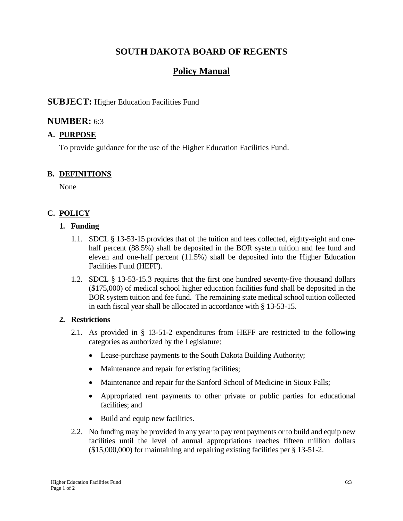## **SOUTH DAKOTA BOARD OF REGENTS**

# **Policy Manual**

## **SUBJECT:** Higher Education Facilities Fund

## **NUMBER:** 6:3

## **A. PURPOSE**

To provide guidance for the use of the Higher Education Facilities Fund.

### **B. DEFINITIONS**

None

## **C. POLICY**

### **1. Funding**

- 1.1. SDCL § 13-53-15 provides that of the tuition and fees collected, eighty-eight and onehalf percent (88.5%) shall be deposited in the BOR system tuition and fee fund and eleven and one-half percent (11.5%) shall be deposited into the Higher Education Facilities Fund (HEFF).
- 1.2. SDCL § 13-53-15.3 requires that the first one hundred seventy-five thousand dollars (\$175,000) of medical school higher education facilities fund shall be deposited in the BOR system tuition and fee fund. The remaining state medical school tuition collected in each fiscal year shall be allocated in accordance with § 13-53-15.

### **2. Restrictions**

- 2.1. As provided in § 13-51-2 expenditures from HEFF are restricted to the following categories as authorized by the Legislature:
	- Lease-purchase payments to the South Dakota Building Authority;
	- Maintenance and repair for existing facilities;
	- Maintenance and repair for the Sanford School of Medicine in Sioux Falls;
	- Appropriated rent payments to other private or public parties for educational facilities; and
	- Build and equip new facilities.
- 2.2. No funding may be provided in any year to pay rent payments or to build and equip new facilities until the level of annual appropriations reaches fifteen million dollars (\$15,000,000) for maintaining and repairing existing facilities per § 13-51-2.